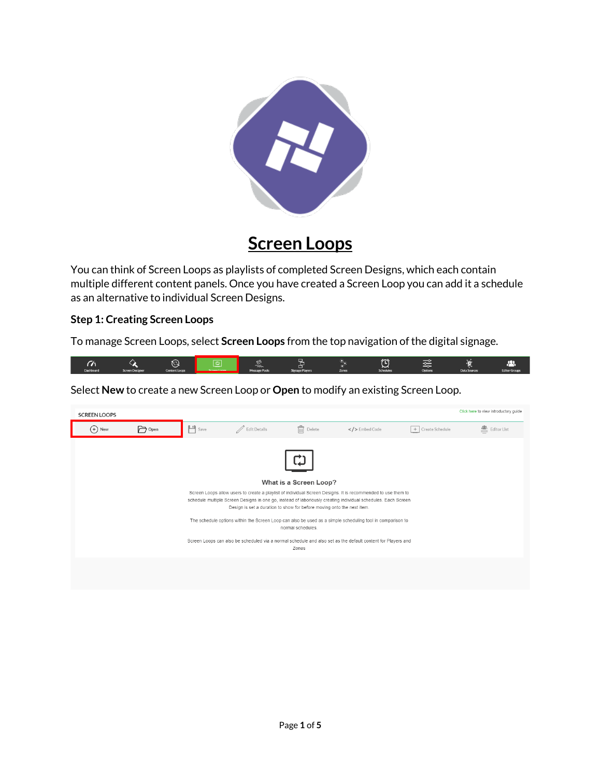

## **Screen Loops**

You can think of Screen Loops as playlists of completed Screen Designs, which each contain multiple different content panels. Once you have created a Screen Loop you can add it a schedule as an alternative to individual Screen Designs.

## **Step 1: Creating Screen Loops**

To manage Screen Loops, select **Screen Loops** from the top navigation of the digital signage.



Select **New** to create a new Screen Loop or **Open** to modify an existing Screen Loop.

| <b>SCREEN LOOPS</b> |        |                   |                |                                                                                                                                |                                                                                                                                                                                                                                                                                                                                                                                                                                                            |                   | Click here to view introductory quide |
|---------------------|--------|-------------------|----------------|--------------------------------------------------------------------------------------------------------------------------------|------------------------------------------------------------------------------------------------------------------------------------------------------------------------------------------------------------------------------------------------------------------------------------------------------------------------------------------------------------------------------------------------------------------------------------------------------------|-------------------|---------------------------------------|
| $(+)$ New           | P Open | $\mathbf{H}$ Save | / Edit Details | 氚<br>Delete                                                                                                                    | $\langle$ > Embed Code                                                                                                                                                                                                                                                                                                                                                                                                                                     | + Create Schedule | 图 Editor List                         |
|                     |        |                   |                | What is a Screen Loop?<br>Design is set a duration to show for before moving onto the next item.<br>normal schedules.<br>Zones | Screen Loops allow users to create a playlist of individual Screen Designs. It is recommended to use them to<br>schedule multiple Screen Designs in one go, instead of laboriously creating individual schedules. Each Screen<br>The schedule options within the Screen Loop can also be used as a simple scheduling tool in comparison to<br>Screen Loops can also be scheduled via a normal schedule and also set as the default content for Players and |                   |                                       |
|                     |        |                   |                |                                                                                                                                |                                                                                                                                                                                                                                                                                                                                                                                                                                                            |                   |                                       |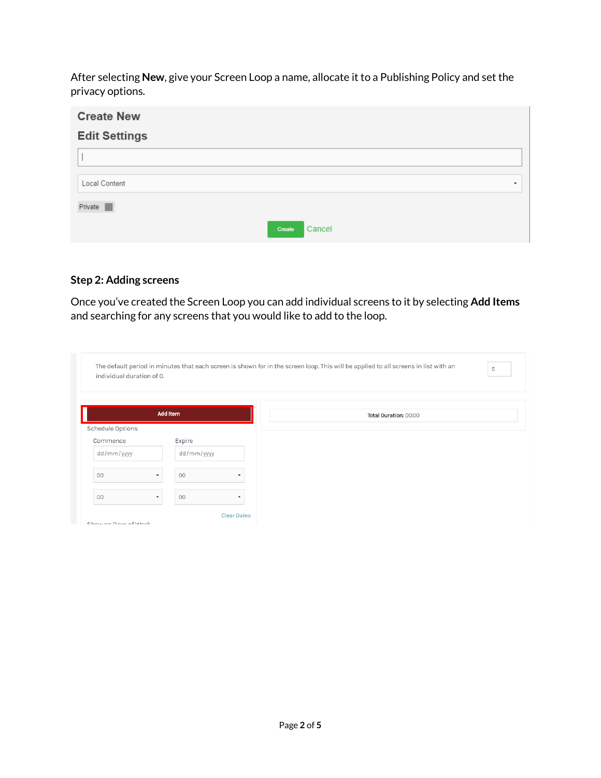After selecting **New**, give your Screen Loop a name, allocate it to a Publishing Policy and set the privacy options.

| <b>Create New</b>    |                          |  |  |  |
|----------------------|--------------------------|--|--|--|
| <b>Edit Settings</b> |                          |  |  |  |
|                      |                          |  |  |  |
| Local Content        | $\overline{\phantom{a}}$ |  |  |  |
| Private              |                          |  |  |  |
|                      | Cancel<br>Create         |  |  |  |

## **Step 2: Adding screens**

Once you've created the Screen Loop you can add individual screens to it by selecting **Add Items** and searching for any screens that you would like to add to the loop.

| individual duration of 0. |                 | 5                     |
|---------------------------|-----------------|-----------------------|
|                           |                 |                       |
|                           | <b>Add Item</b> | Total Duration: 00:00 |
| Schedule Options          |                 |                       |
| Commence                  | Expire          |                       |
| dd/mm/yyyy                | dd/mm/yyyy      |                       |
| 00                        | 00<br>۰         |                       |
| O <sub>O</sub>            | 00<br>۰         |                       |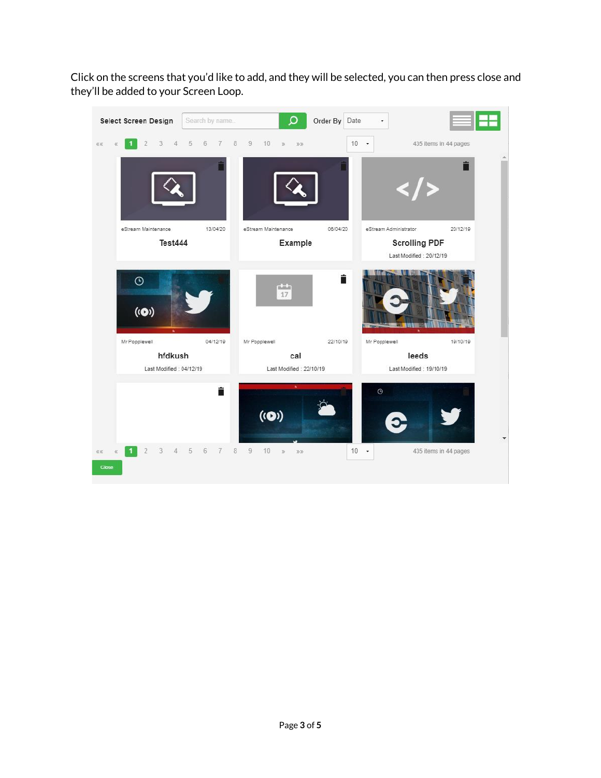Click on the screens that you'd like to add, and they will be selected, you can then press close and they'll be added to your Screen Loop.

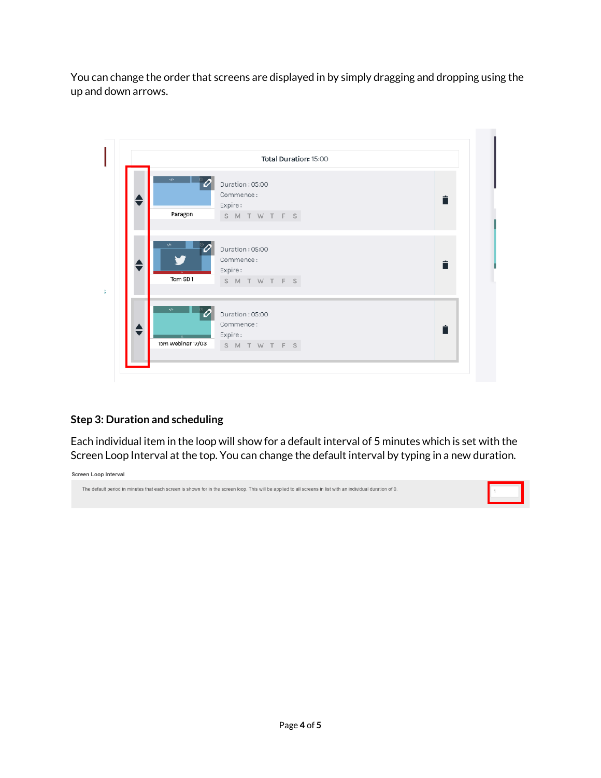You can change the order that screens are displayed in by simply dragging and dropping using the up and down arrows.

|   | Total Duration: 15:00                                                                           |  |  |  |  |  |  |  |
|---|-------------------------------------------------------------------------------------------------|--|--|--|--|--|--|--|
|   | $\epsilon/\epsilon$<br>Duration: 05:00<br>Commence:<br>Ê<br>Expire:<br>Paragon<br>S M T W T F S |  |  |  |  |  |  |  |
|   | $$<br>Duration: 05:00<br>Commence:<br>Ê<br>Expire:<br>Tom SD1<br>SMTWTFS                        |  |  |  |  |  |  |  |
| ♦ | s/s<br>Duration: 05:00<br>Commence:<br>Ê<br>Expire:<br>Tom Webinar 17/03<br>SMTWTFS             |  |  |  |  |  |  |  |

## **Step 3: Duration and scheduling**

Each individual item in the loop will show for a default interval of 5 minutes which is set with the Screen Loop Interval at the top. You can change the default interval by typing in a new duration.

Screen Loop Interval